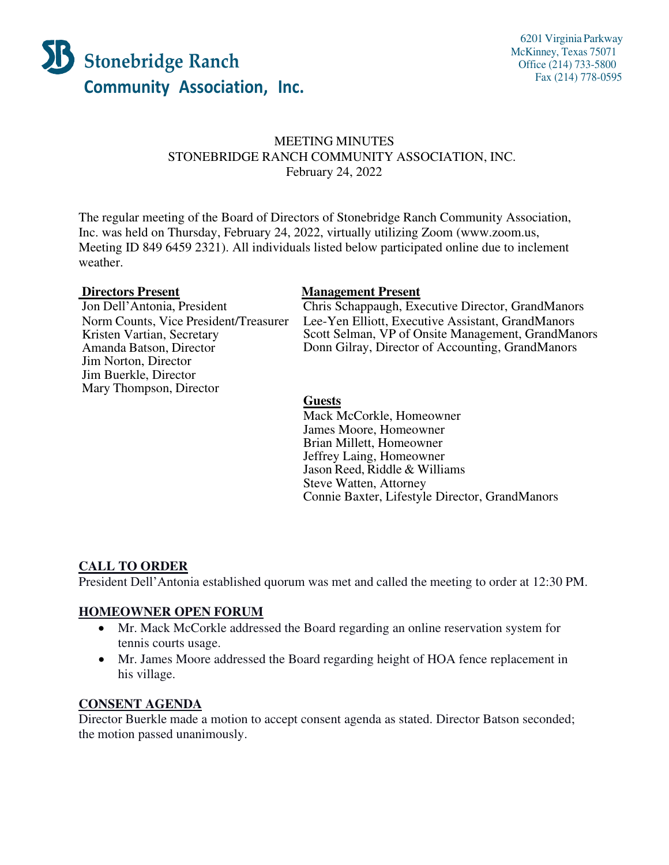

# MEETING MINUTES STONEBRIDGE RANCH COMMUNITY ASSOCIATION, INC. February 24, 2022

The regular meeting of the Board of Directors of Stonebridge Ranch Community Association, Inc. was held on Thursday, February 24, 2022, virtually utilizing Zoom [\(www.zoom.us,](http://www.zoom.us/) Meeting ID 849 6459 2321). All individuals listed below participated online due to inclement weather.

Norm Counts, Vice President/Treasurer Kristen Vartian, Secretary Amanda Batson, Director Jim Norton, Director Jim Buerkle, Director Mary Thompson, Director

#### **Directors Present Management Present**

Jon Dell'Antonia, President Chris Schappaugh, Executive Director, GrandManors Lee-Yen Elliott, Executive Assistant, GrandManors Scott Selman, VP of Onsite Management, GrandManors Donn Gilray, Director of Accounting, GrandManors

### **Guests**

Mack McCorkle, Homeowner James Moore, Homeowner Brian Millett, Homeowner Jeffrey Laing, Homeowner Jason Reed, Riddle & Williams Steve Watten, Attorney Connie Baxter, Lifestyle Director, GrandManors

### **CALL TO ORDER**

President Dell'Antonia established quorum was met and called the meeting to order at 12:30 PM.

### **HOMEOWNER OPEN FORUM**

- Mr. Mack McCorkle addressed the Board regarding an online reservation system for tennis courts usage.
- Mr. James Moore addressed the Board regarding height of HOA fence replacement in his village.

### **CONSENT AGENDA**

Director Buerkle made a motion to accept consent agenda as stated. Director Batson seconded; the motion passed unanimously.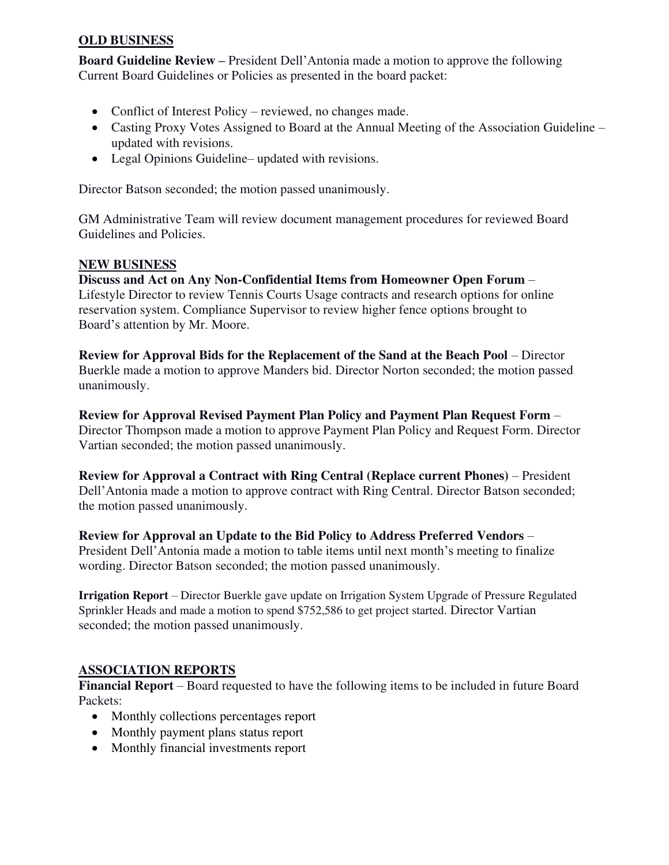# **OLD BUSINESS**

**Board Guideline Review –** President Dell'Antonia made a motion to approve the following Current Board Guidelines or Policies as presented in the board packet:

- Conflict of Interest Policy reviewed, no changes made.
- Casting Proxy Votes Assigned to Board at the Annual Meeting of the Association Guideline updated with revisions.
- Legal Opinions Guideline– updated with revisions.

Director Batson seconded; the motion passed unanimously.

GM Administrative Team will review document management procedures for reviewed Board Guidelines and Policies.

# **NEW BUSINESS**

**Discuss and Act on Any Non-Confidential Items from Homeowner Open Forum** – Lifestyle Director to review Tennis Courts Usage contracts and research options for online reservation system. Compliance Supervisor to review higher fence options brought to Board's attention by Mr. Moore.

**Review for Approval Bids for the Replacement of the Sand at the Beach Pool** – Director Buerkle made a motion to approve Manders bid. Director Norton seconded; the motion passed unanimously.

**Review for Approval Revised Payment Plan Policy and Payment Plan Request Form** – Director Thompson made a motion to approve Payment Plan Policy and Request Form. Director Vartian seconded; the motion passed unanimously.

**Review for Approval a Contract with Ring Central (Replace current Phones)** – President Dell'Antonia made a motion to approve contract with Ring Central. Director Batson seconded; the motion passed unanimously.

# **Review for Approval an Update to the Bid Policy to Address Preferred Vendors** –

President Dell'Antonia made a motion to table items until next month's meeting to finalize wording. Director Batson seconded; the motion passed unanimously.

**Irrigation Report** – Director Buerkle gave update on Irrigation System Upgrade of Pressure Regulated Sprinkler Heads and made a motion to spend \$752,586 to get project started. Director Vartian seconded; the motion passed unanimously.

# **ASSOCIATION REPORTS**

**Financial Report** – Board requested to have the following items to be included in future Board Packets:

- Monthly collections percentages report
- Monthly payment plans status report
- Monthly financial investments report